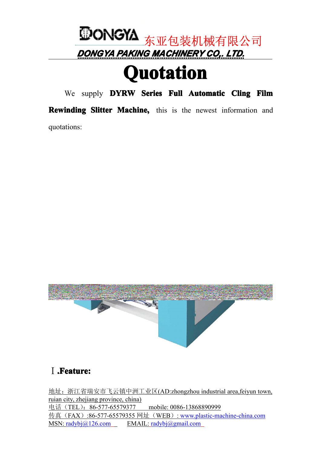

# **Quotation uotation uotation**

We supply **DYRW** Series Full Automatic Cling Film

**Rewinding Slitter Machine,** this is the newest information and quotations:



### Ⅰ**.Feature: .Feature:.Feature:**

地址:浙江省瑞安市飞云镇中洲工业区(AD:zhongzhou industrial area,feiyun town, ruian city, zhejiang province, china) 电话 (TEL): 86-577-65579377 mobile: 0086-13868890999 传真(FAX):86-577-65579355 网址(WEB): www.p[lastic-machine-china.com](http://www.plastic-machine-china.com/) MSN: [radybj@126.com](mailto:radybj@126.com) EMAIL: [radybj@gmail.com](mailto:radybj@gmail.com)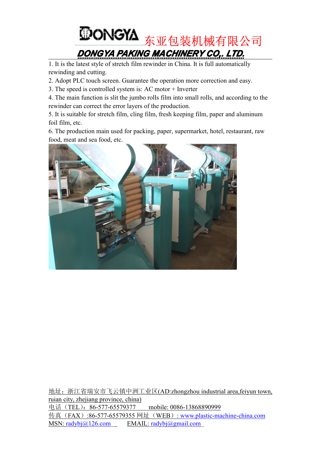

1. It is the latest style of stretch film rewinder in China. It is full automatically rewinding and cutting.

- 2. Adopt PLC touch screen. Guarantee the operation more correction and easy.
- 3. The speed is controlled system is: AC motor + Inverter

4. The main function is slit the jumbo rolls film into small rolls, and according to the rewinder can correct the error layers of the production.

5. It is suitable for stretch film, cling film, fresh keeping film, paper and aluminum foil film, etc.

6. The production main used for packing, paper, supermarket, hotel, restaurant, raw food, meat and sea food, etc.



地址:浙江省瑞安市飞云镇中洲工业区(AD:zhongzhou industrial area,feiyun town, ruian city, zhejiang province, china) 电话(TEL):86-577-65579377 mobile: 0086-13868890999 传真(FAX):86-577-65579355 网址(WEB): www.p[lastic-machine-china.com](http://www.plastic-machine-china.com/) MSN: [radybj@126.com](mailto:radybj@126.com) EMAIL: [radybj@gmail.com](mailto:radybj@gmail.com)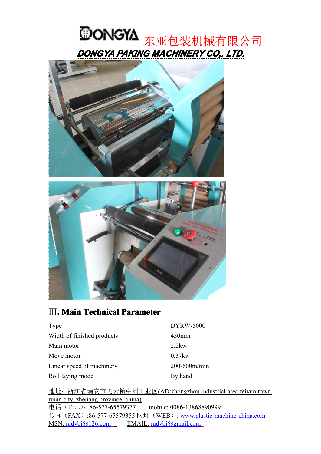





#### Ⅲ**. Main Technical TechnicalParameter**

| Type                       | <b>DYRW-5000</b> |
|----------------------------|------------------|
| Width of finished products | $450$ mm         |
| Main motor                 | $2.2$ kw         |
| Move motor                 | $0.37$ kw        |
| Linear speed of machinery  | 200-600m/min     |
| Roll laying mode           | By hand          |

地址:浙江省瑞安市飞云镇中洲工业区(AD:zhongzhou industrial area,feiyun town, ruian city, zhejiang province, china) 电话(TEL):86-577-65579377 mobile: 0086-13868890999 传真(FAX):86-577-65579355 网址(WEB): www.p[lastic-machine-china.com](http://www.plastic-machine-china.com/) MSN: [radybj@126.com](mailto:radybj@126.com) EMAIL: [radybj@gmail.com](mailto:radybj@gmail.com)